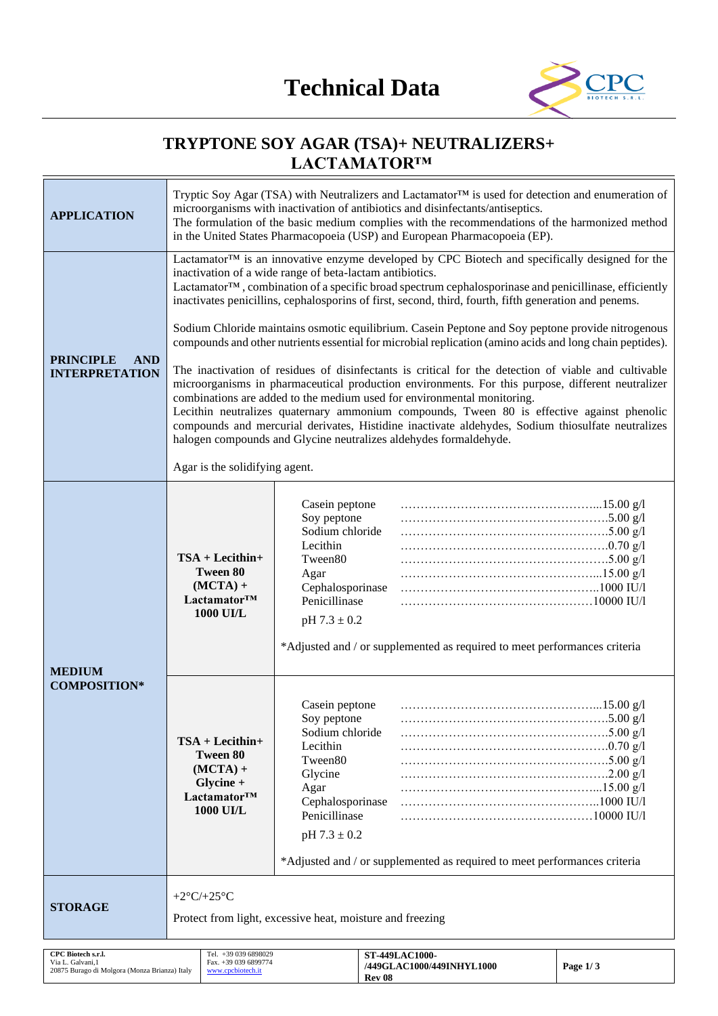

# **TRYPTONE SOY AGAR (TSA)+ NEUTRALIZERS+ LACTAMATOR™**

| <b>APPLICATION</b>                                                                       | Tryptic Soy Agar (TSA) with Neutralizers and Lactamator™ is used for detection and enumeration of<br>microorganisms with inactivation of antibiotics and disinfectants/antiseptics.<br>The formulation of the basic medium complies with the recommendations of the harmonized method<br>in the United States Pharmacopoeia (USP) and European Pharmacopoeia (EP).                                                                                                                                                                                           |                                                                                                                                                     |                                                                           |          |
|------------------------------------------------------------------------------------------|--------------------------------------------------------------------------------------------------------------------------------------------------------------------------------------------------------------------------------------------------------------------------------------------------------------------------------------------------------------------------------------------------------------------------------------------------------------------------------------------------------------------------------------------------------------|-----------------------------------------------------------------------------------------------------------------------------------------------------|---------------------------------------------------------------------------|----------|
|                                                                                          | Lactamator™ is an innovative enzyme developed by CPC Biotech and specifically designed for the<br>inactivation of a wide range of beta-lactam antibiotics.<br>Lactamator <sup>TM</sup> , combination of a specific broad spectrum cephalosporinase and penicillinase, efficiently<br>inactivates penicillins, cephalosporins of first, second, third, fourth, fifth generation and penems.                                                                                                                                                                   |                                                                                                                                                     |                                                                           |          |
|                                                                                          | Sodium Chloride maintains osmotic equilibrium. Casein Peptone and Soy peptone provide nitrogenous<br>compounds and other nutrients essential for microbial replication (amino acids and long chain peptides).                                                                                                                                                                                                                                                                                                                                                |                                                                                                                                                     |                                                                           |          |
| <b>PRINCIPLE</b><br><b>AND</b><br><b>INTERPRETATION</b>                                  | The inactivation of residues of disinfectants is critical for the detection of viable and cultivable<br>microorganisms in pharmaceutical production environments. For this purpose, different neutralizer<br>combinations are added to the medium used for environmental monitoring.<br>Lecithin neutralizes quaternary ammonium compounds, Tween 80 is effective against phenolic<br>compounds and mercurial derivates, Histidine inactivate aldehydes, Sodium thiosulfate neutralizes<br>halogen compounds and Glycine neutralizes aldehydes formaldehyde. |                                                                                                                                                     |                                                                           |          |
|                                                                                          | Agar is the solidifying agent.                                                                                                                                                                                                                                                                                                                                                                                                                                                                                                                               |                                                                                                                                                     |                                                                           |          |
| <b>MEDIUM</b>                                                                            | $TSA + Lecithin+$<br><b>Tween 80</b><br>$(MCTA) +$<br>Lactamator™<br><b>1000 UI/L</b>                                                                                                                                                                                                                                                                                                                                                                                                                                                                        | Casein peptone<br>Soy peptone<br>Sodium chloride<br>Lecithin<br>Tween80<br>Agar<br>Cephalosporinase<br>Penicillinase<br>$pH 7.3 \pm 0.2$            | *Adjusted and / or supplemented as required to meet performances criteria |          |
| <b>COMPOSITION*</b>                                                                      | $TSA + Lecithin+$<br>Tween 80<br>$(MCTA) +$<br>Glycine +<br>Lactamator™<br><b>1000 UI/L</b>                                                                                                                                                                                                                                                                                                                                                                                                                                                                  | Casein peptone<br>Soy peptone<br>Sodium chloride<br>Lecithin<br>Tween80<br>Glycine<br>Agar<br>Cephalosporinase<br>Penicillinase<br>$pH 7.3 \pm 0.2$ | *Adjusted and / or supplemented as required to meet performances criteria |          |
| <b>STORAGE</b>                                                                           | +2 $\rm{^{\circ}C}/+25\rm{^{\circ}C}$<br>Protect from light, excessive heat, moisture and freezing                                                                                                                                                                                                                                                                                                                                                                                                                                                           |                                                                                                                                                     |                                                                           |          |
| CPC Biotech s.r.l.<br>Via L. Galvani, 1<br>20875 Burago di Molgora (Monza Brianza) Italy | Tel. +39 039 6898029<br>Fax. +39 039 6899774<br>www.cpcbiotech.it                                                                                                                                                                                                                                                                                                                                                                                                                                                                                            |                                                                                                                                                     | <b>ST-449LAC1000-</b><br>/449GLAC1000/449INHYL1000                        | Page 1/3 |

**Rev 08**

20875 Burago di Molgora (Monza Brianza) Italy

[www.cpcbiotech.it](http://www.cpcbiotech.it/)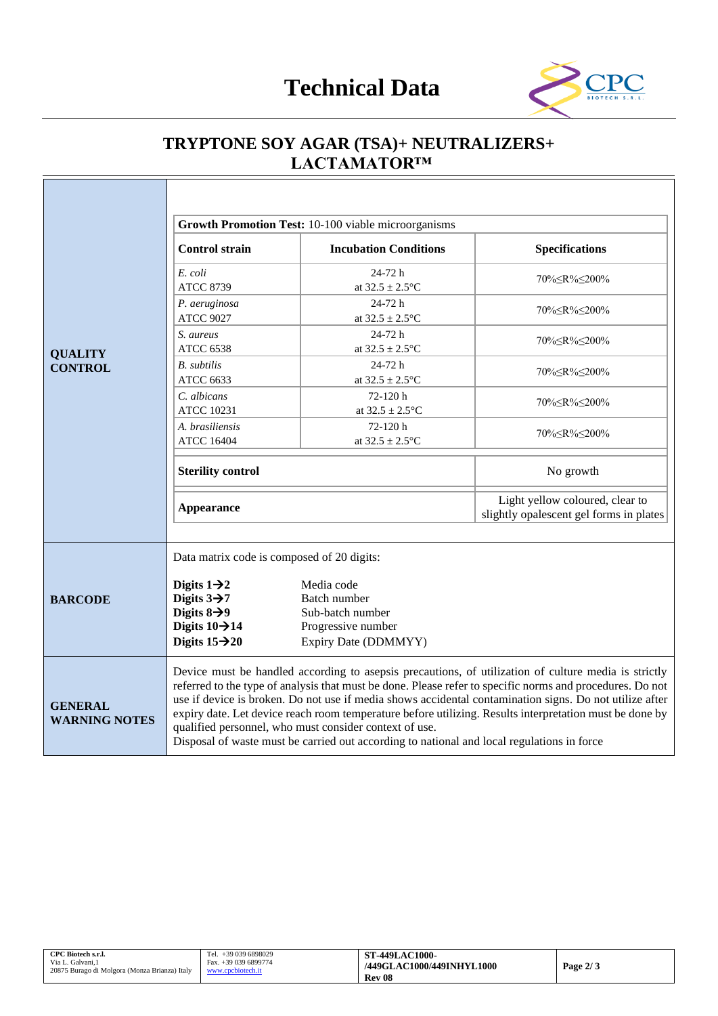

# **TRYPTONE SOY AGAR (TSA)+ NEUTRALIZERS+ LACTAMATOR™**

|                                                                                                                                                                                                                                                             | <b>Control strain</b>                                                                                                                                                                                                                                                                                                                                                                                                                                                                                                                                                                           | Growth Promotion Test: 10-100 viable microorganisms<br><b>Incubation Conditions</b> | <b>Specifications</b>                                                      |
|-------------------------------------------------------------------------------------------------------------------------------------------------------------------------------------------------------------------------------------------------------------|-------------------------------------------------------------------------------------------------------------------------------------------------------------------------------------------------------------------------------------------------------------------------------------------------------------------------------------------------------------------------------------------------------------------------------------------------------------------------------------------------------------------------------------------------------------------------------------------------|-------------------------------------------------------------------------------------|----------------------------------------------------------------------------|
|                                                                                                                                                                                                                                                             | E. coli<br><b>ATCC 8739</b>                                                                                                                                                                                                                                                                                                                                                                                                                                                                                                                                                                     | 24-72 h<br>at $32.5 \pm 2.5^{\circ}C$                                               | 70% <<br>R%<200%                                                           |
|                                                                                                                                                                                                                                                             | P. aeruginosa<br><b>ATCC 9027</b>                                                                                                                                                                                                                                                                                                                                                                                                                                                                                                                                                               | 24-72 h<br>at $32.5 \pm 2.5^{\circ}C$                                               | 70%≤R%≤200%                                                                |
| <b>QUALITY</b>                                                                                                                                                                                                                                              | S. aureus<br><b>ATCC 6538</b>                                                                                                                                                                                                                                                                                                                                                                                                                                                                                                                                                                   | 24-72h<br>at $32.5 \pm 2.5^{\circ}$ C                                               | 70% R% 200%                                                                |
| <b>CONTROL</b>                                                                                                                                                                                                                                              | <b>B.</b> subtilis<br><b>ATCC 6633</b>                                                                                                                                                                                                                                                                                                                                                                                                                                                                                                                                                          | 24-72 h<br>at $32.5 \pm 2.5^{\circ}$ C                                              | 70% <<br>R%<200%                                                           |
|                                                                                                                                                                                                                                                             | C. albicans<br><b>ATCC 10231</b>                                                                                                                                                                                                                                                                                                                                                                                                                                                                                                                                                                | 72-120h<br>at $32.5 \pm 2.5^{\circ}C$                                               | 70%≤R%≤200%                                                                |
|                                                                                                                                                                                                                                                             | A. brasiliensis<br><b>ATCC 16404</b>                                                                                                                                                                                                                                                                                                                                                                                                                                                                                                                                                            | 72-120h<br>at $32.5 \pm 2.5^{\circ}$ C                                              |                                                                            |
|                                                                                                                                                                                                                                                             | <b>Sterility control</b>                                                                                                                                                                                                                                                                                                                                                                                                                                                                                                                                                                        |                                                                                     | No growth                                                                  |
|                                                                                                                                                                                                                                                             | <b>Appearance</b>                                                                                                                                                                                                                                                                                                                                                                                                                                                                                                                                                                               |                                                                                     | Light yellow coloured, clear to<br>slightly opalescent gel forms in plates |
|                                                                                                                                                                                                                                                             | Data matrix code is composed of 20 digits:                                                                                                                                                                                                                                                                                                                                                                                                                                                                                                                                                      |                                                                                     |                                                                            |
| Digits $1\rightarrow 2$<br>Media code<br>Digits $3\rightarrow 7$<br>Batch number<br><b>BARCODE</b><br>Digits $8\rightarrow 9$<br>Sub-batch number<br>Digits $10 \rightarrow 14$<br>Progressive number<br>Digits $15 \rightarrow 20$<br>Expiry Date (DDMMYY) |                                                                                                                                                                                                                                                                                                                                                                                                                                                                                                                                                                                                 |                                                                                     |                                                                            |
| <b>GENERAL</b><br><b>WARNING NOTES</b>                                                                                                                                                                                                                      | Device must be handled according to asepsis precautions, of utilization of culture media is strictly<br>referred to the type of analysis that must be done. Please refer to specific norms and procedures. Do not<br>use if device is broken. Do not use if media shows accidental contamination signs. Do not utilize after<br>expiry date. Let device reach room temperature before utilizing. Results interpretation must be done by<br>qualified personnel, who must consider context of use.<br>Disposal of waste must be carried out according to national and local regulations in force |                                                                                     |                                                                            |

| CPC Biotech s.r.l.                            | $+390396898029$<br>Tel. | <b>ST-449LAC1000-</b>     |            |
|-----------------------------------------------|-------------------------|---------------------------|------------|
| Via L. Galvani.1                              | Fax. +39 039 6899774    | /449GLAC1000/449INHYL1000 | Page $2/3$ |
| 20875 Burago di Molgora (Monza Brianza) Italy | www.cpcbiotech.it       |                           |            |
|                                               |                         | <b>Rev 08</b>             |            |